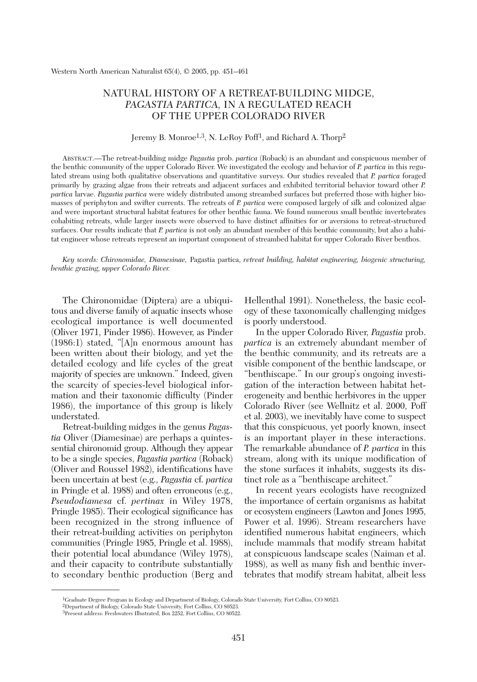# NATURAL HISTORY OF A RETREAT-BUILDING MIDGE, *PAGASTIA PARTICA,* IN A REGULATED REACH OF THE UPPER COLORADO RIVER

## Jeremy B. Monroe<sup>1,3</sup>, N. LeRoy Poff<sup>1</sup>, and Richard A. Thorp<sup>2</sup>

ABSTRACT.—The retreat-building midge *Pagastia* prob. *partica* (Roback) is an abundant and conspicuous member of the benthic community of the upper Colorado River. We investigated the ecology and behavior of *P. partica* in this regulated stream using both qualitative observations and quantitative surveys. Our studies revealed that *P. partica* foraged primarily by grazing algae from their retreats and adjacent surfaces and exhibited territorial behavior toward other *P. partica* larvae. *Pagastia partica* were widely distributed among streambed surfaces but preferred those with higher biomasses of periphyton and swifter currents. The retreats of *P. partica* were composed largely of silk and colonized algae and were important structural habitat features for other benthic fauna. We found numerous small benthic invertebrates cohabiting retreats, while larger insects were observed to have distinct affinities for or aversions to retreat-structured surfaces. Our results indicate that *P. partica* is not only an abundant member of this benthic community, but also a habitat engineer whose retreats represent an important component of streambed habitat for upper Colorado River benthos.

*Key words: Chironomidae, Diamesinae,* Pagastia partica, *retreat building, habitat engineering, biogenic structuring, benthic grazing, upper Colorado River.*

The Chironomidae (Diptera) are a ubiquitous and diverse family of aquatic insects whose ecological importance is well documented (Oliver 1971, Pinder 1986). However, as Pinder (1986:1) stated, "[A]n enormous amount has been written about their biology, and yet the detailed ecology and life cycles of the great majority of species are unknown." Indeed, given the scarcity of species-level biological information and their taxonomic difficulty (Pinder 1986), the importance of this group is likely understated.

Retreat-building midges in the genus *Pagastia* Oliver (Diamesinae) are perhaps a quintessential chironomid group. Although they appear to be a single species, *Pagastia partica* (Roback) (Oliver and Roussel 1982), identifications have been uncertain at best (e.g., *Pagastia* cf. *partica* in Pringle et al. 1988) and often erroneous (e.g., *Pseudodiamesa* cf. *pertinax* in Wiley 1978, Pringle 1985). Their ecological significance has been recognized in the strong influence of their retreat-building activities on periphyton communities (Pringle 1985, Pringle et al. 1988), their potential local abundance (Wiley 1978), and their capacity to contribute substantially to secondary benthic production (Berg and Hellenthal 1991). Nonetheless, the basic ecology of these taxonomically challenging midges is poorly understood.

In the upper Colorado River, *Pagastia* prob. *partica* is an extremely abundant member of the benthic community, and its retreats are a visible component of the benthic landscape, or "benthiscape." In our group's ongoing investigation of the interaction between habitat heterogeneity and benthic herbivores in the upper Colorado River (see Wellnitz et al. 2000, Poff et al. 2003), we inevitably have come to suspect that this conspicuous, yet poorly known, insect is an important player in these interactions. The remarkable abundance of *P. partica* in this stream, along with its unique modification of the stone surfaces it inhabits, suggests its distinct role as a "benthiscape architect."

In recent years ecologists have recognized the importance of certain organisms as habitat or ecosystem engineers (Lawton and Jones 1995, Power et al. 1996). Stream researchers have identified numerous habitat engineers, which include mammals that modify stream habitat at conspicuous landscape scales (Naiman et al. 1988), as well as many fish and benthic invertebrates that modify stream habitat, albeit less

<sup>&</sup>lt;sup>1</sup>Graduate Degree Program in Ecology and Department of Biology, Colorado State University, Fort Collins, CO 80523.

<sup>2</sup>Department of Biology, Colorado State University, Fort Collins, CO 80523.

<sup>3</sup>Present address: Freshwaters Illustrated, Box 2252, Fort Collins, CO 80522.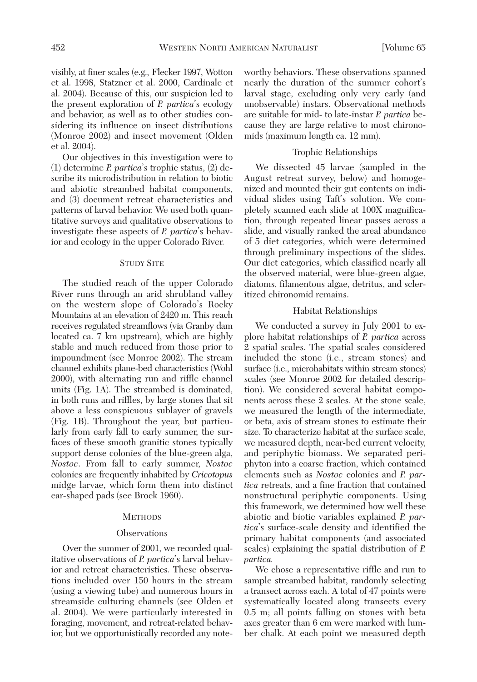visibly, at finer scales (e.g., Flecker 1997, Wotton et al. 1998, Statzner et al. 2000, Cardinale et al. 2004). Because of this, our suspicion led to the present exploration of *P. partica*'s ecology and behavior, as well as to other studies considering its influence on insect distributions (Monroe 2002) and insect movement (Olden et al. 2004).

Our objectives in this investigation were to (1) determine *P. partica*'s trophic status, (2) describe its microdistribution in relation to biotic and abiotic streambed habitat components, and (3) document retreat characteristics and patterns of larval behavior. We used both quantitative surveys and qualitative observations to investigate these aspects of *P. partica*'s behavior and ecology in the upper Colorado River.

## STUDY SITE

The studied reach of the upper Colorado River runs through an arid shrubland valley on the western slope of Colorado's Rocky Mountains at an elevation of 2420 m. This reach receives regulated streamflows (via Granby dam located ca. 7 km upstream), which are highly stable and much reduced from those prior to impoundment (see Monroe 2002). The stream channel exhibits plane-bed characteristics (Wohl 2000), with alternating run and riffle channel units (Fig. 1A). The streambed is dominated, in both runs and riffles, by large stones that sit above a less conspicuous sublayer of gravels (Fig. 1B). Throughout the year, but particularly from early fall to early summer, the surfaces of these smooth granitic stones typically support dense colonies of the blue-green alga, *Nostoc*. From fall to early summer, *Nostoc* colonies are frequently inhabited by *Cricotopus* midge larvae, which form them into distinct ear-shaped pads (see Brock 1960).

#### **METHODS**

#### **Observations**

Over the summer of 2001, we recorded qualitative observations of *P. partica*'s larval behavior and retreat characteristics. These observations included over 150 hours in the stream (using a viewing tube) and numerous hours in streamside culturing channels (see Olden et al. 2004). We were particularly interested in foraging, movement, and retreat-related behavior, but we opportunistically recorded any noteworthy behaviors. These observations spanned nearly the duration of the summer cohort's larval stage, excluding only very early (and unobservable) instars. Observational methods are suitable for mid- to late-instar *P. partica* because they are large relative to most chironomids (maximum length ca. 12 mm).

## Trophic Relationships

We dissected 45 larvae (sampled in the August retreat survey, below) and homogenized and mounted their gut contents on individual slides using Taft's solution. We completely scanned each slide at 100X magnification, through repeated linear passes across a slide, and visually ranked the areal abundance of 5 diet categories, which were determined through preliminary inspections of the slides. Our diet categories, which classified nearly all the observed material, were blue-green algae, diatoms, filamentous algae, detritus, and scleritized chironomid remains.

### Habitat Relationships

We conducted a survey in July 2001 to explore habitat relationships of *P. partica* across 2 spatial scales. The spatial scales considered included the stone (i.e., stream stones) and surface (i.e., microhabitats within stream stones) scales (see Monroe 2002 for detailed description). We considered several habitat components across these 2 scales. At the stone scale, we measured the length of the intermediate, or beta, axis of stream stones to estimate their size. To characterize habitat at the surface scale, we measured depth, near-bed current velocity, and periphytic biomass. We separated periphyton into a coarse fraction, which contained elements such as *Nostoc* colonies and *P. partica* retreats, and a fine fraction that contained nonstructural periphytic components. Using this framework, we determined how well these abiotic and biotic variables explained *P. partica*'s surface-scale density and identified the primary habitat components (and associated scales) explaining the spatial distribution of *P. partica.*

We chose a representative riffle and run to sample streambed habitat, randomly selecting a transect across each. A total of 47 points were systematically located along transects every 0.5 m; all points falling on stones with beta axes greater than 6 cm were marked with lumber chalk. At each point we measured depth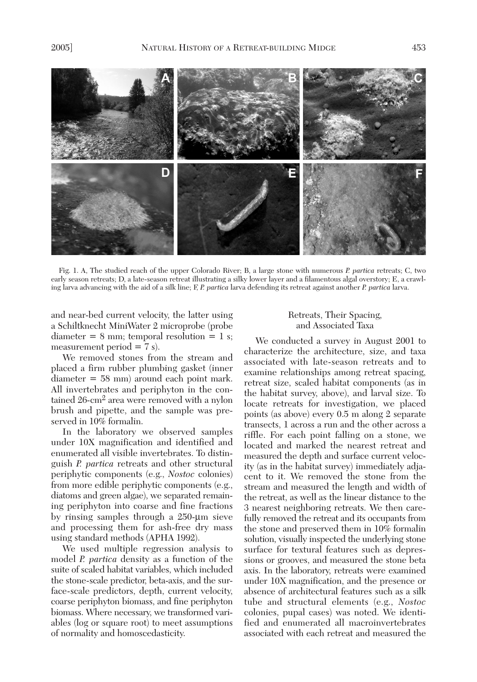

Fig. 1. A, The studied reach of the upper Colorado River; B, a large stone with numerous *P. partica* retreats; C, two early season retreats; D, a late-season retreat illustrating a silky lower layer and a filamentous algal overstory; E, a crawling larva advancing with the aid of a silk line; F, *P. partica* larva defending its retreat against another *P. partica* larva.

and near-bed current velocity, the latter using a Schiltknecht MiniWater 2 microprobe (probe  $diameter = 8 mm; temporal resolution = 1 s;$ measurement period  $= 7$  s).

We removed stones from the stream and placed a firm rubber plumbing gasket (inner diameter = 58 mm) around each point mark. All invertebrates and periphyton in the contained 26-cm2 area were removed with a nylon brush and pipette, and the sample was preserved in 10% formalin.

In the laboratory we observed samples under 10X magnification and identified and enumerated all visible invertebrates. To distinguish *P. partica* retreats and other structural periphytic components (e.g., *Nostoc* colonies) from more edible periphytic components (e.g., diatoms and green algae), we separated remaining periphyton into coarse and fine fractions by rinsing samples through a 250-µm sieve and processing them for ash-free dry mass using standard methods (APHA 1992).

We used multiple regression analysis to model *P. partica* density as a function of the suite of scaled habitat variables, which included the stone-scale predictor, beta-axis, and the surface-scale predictors, depth, current velocity, coarse periphyton biomass, and fine periphyton biomass. Where necessary, we transformed variables (log or square root) to meet assumptions of normality and homoscedasticity.

## Retreats, Their Spacing, and Associated Taxa

We conducted a survey in August 2001 to characterize the architecture, size, and taxa associated with late-season retreats and to examine relationships among retreat spacing, retreat size, scaled habitat components (as in the habitat survey, above), and larval size. To locate retreats for investigation, we placed points (as above) every 0.5 m along 2 separate transects, 1 across a run and the other across a riffle. For each point falling on a stone, we located and marked the nearest retreat and measured the depth and surface current velocity (as in the habitat survey) immediately adjacent to it. We removed the stone from the stream and measured the length and width of the retreat, as well as the linear distance to the 3 nearest neighboring retreats. We then carefully removed the retreat and its occupants from the stone and preserved them in 10% formalin solution, visually inspected the underlying stone surface for textural features such as depressions or grooves, and measured the stone beta axis. In the laboratory, retreats were examined under 10X magnification, and the presence or absence of architectural features such as a silk tube and structural elements (e.g., *Nostoc* colonies, pupal cases) was noted. We identified and enumerated all macroinvertebrates associated with each retreat and measured the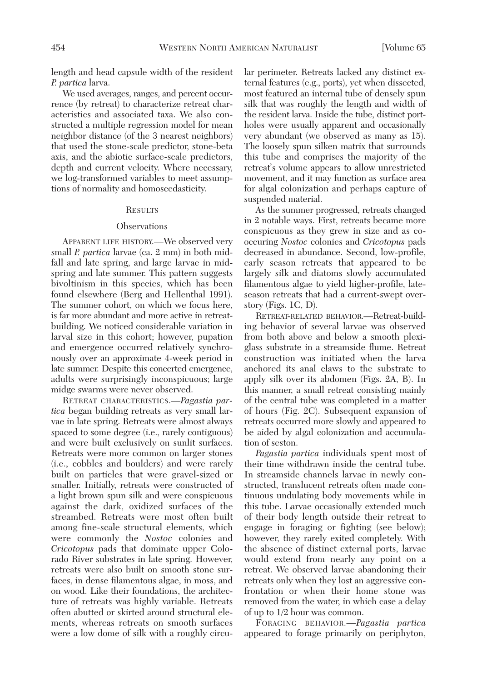length and head capsule width of the resident *P. partica* larva.

We used averages, ranges, and percent occurrence (by retreat) to characterize retreat characteristics and associated taxa. We also constructed a multiple regression model for mean neighbor distance (of the 3 nearest neighbors) that used the stone-scale predictor, stone-beta axis, and the abiotic surface-scale predictors, depth and current velocity. Where necessary, we log-transformed variables to meet assumptions of normality and homoscedasticity.

#### **RESULTS**

#### **Observations**

APPARENT LIFE HISTORY.—We observed very small *P. partica* larvae (ca. 2 mm) in both midfall and late spring, and large larvae in midspring and late summer. This pattern suggests bivoltinism in this species, which has been found elsewhere (Berg and Hellenthal 1991). The summer cohort, on which we focus here, is far more abundant and more active in retreatbuilding. We noticed considerable variation in larval size in this cohort; however, pupation and emergence occurred relatively synchronously over an approximate 4-week period in late summer. Despite this concerted emergence, adults were surprisingly inconspicuous; large midge swarms were never observed.

RETREAT CHARACTERISTICS.—*Pagastia partica* began building retreats as very small larvae in late spring. Retreats were almost always spaced to some degree (i.e., rarely contiguous) and were built exclusively on sunlit surfaces. Retreats were more common on larger stones (i.e., cobbles and boulders) and were rarely built on particles that were gravel-sized or smaller. Initially, retreats were constructed of a light brown spun silk and were conspicuous against the dark, oxidized surfaces of the streambed. Retreats were most often built among fine-scale structural elements, which were commonly the *Nostoc* colonies and *Cricotopus* pads that dominate upper Colorado River substrates in late spring. However, retreats were also built on smooth stone surfaces, in dense filamentous algae, in moss, and on wood. Like their foundations, the architecture of retreats was highly variable. Retreats often abutted or skirted around structural elements, whereas retreats on smooth surfaces were a low dome of silk with a roughly circular perimeter. Retreats lacked any distinct external features (e.g., ports), yet when dissected, most featured an internal tube of densely spun silk that was roughly the length and width of the resident larva. Inside the tube, distinct portholes were usually apparent and occasionally very abundant (we observed as many as 15). The loosely spun silken matrix that surrounds this tube and comprises the majority of the retreat's volume appears to allow unrestricted movement, and it may function as surface area for algal colonization and perhaps capture of suspended material.

As the summer progressed, retreats changed in 2 notable ways. First, retreats became more conspicuous as they grew in size and as cooccuring *Nostoc* colonies and *Cricotopus* pads decreased in abundance. Second, low-profile, early season retreats that appeared to be largely silk and diatoms slowly accumulated filamentous algae to yield higher-profile, lateseason retreats that had a current-swept overstory (Figs. 1C, D).

RETREAT-RELATED BEHAVIOR.—Retreat-building behavior of several larvae was observed from both above and below a smooth plexiglass substrate in a streamside flume. Retreat construction was initiated when the larva anchored its anal claws to the substrate to apply silk over its abdomen (Figs. 2A, B). In this manner, a small retreat consisting mainly of the central tube was completed in a matter of hours (Fig. 2C). Subsequent expansion of retreats occurred more slowly and appeared to be aided by algal colonization and accumulation of seston.

*Pagastia partica* individuals spent most of their time withdrawn inside the central tube. In streamside channels larvae in newly constructed, translucent retreats often made continuous undulating body movements while in this tube. Larvae occasionally extended much of their body length outside their retreat to engage in foraging or fighting (see below); however, they rarely exited completely. With the absence of distinct external ports, larvae would extend from nearly any point on a retreat. We observed larvae abandoning their retreats only when they lost an aggressive confrontation or when their home stone was removed from the water, in which case a delay of up to 1/2 hour was common.

FORAGING BEHAVIOR.—*Pagastia partica* appeared to forage primarily on periphyton,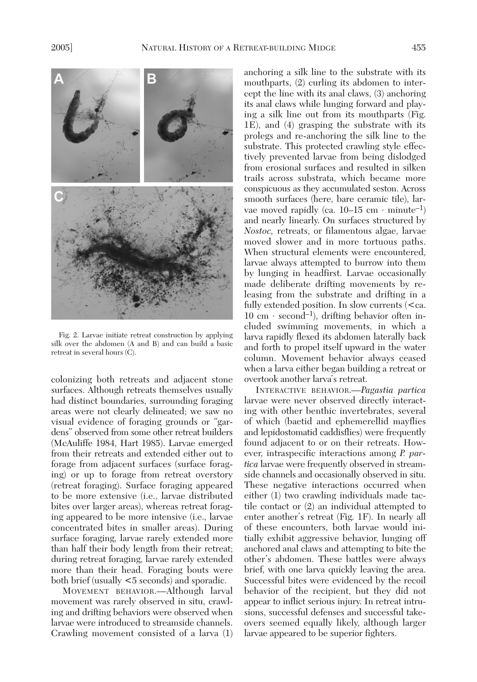

Fig. 2. Larvae initiate retreat construction by applying silk over the abdomen (A and B) and can build a basic retreat in several hours (C).

colonizing both retreats and adjacent stone surfaces. Although retreats themselves usually had distinct boundaries, surrounding foraging areas were not clearly delineated; we saw no visual evidence of foraging grounds or "gardens" observed from some other retreat builders (McAuliffe 1984, Hart 1985). Larvae emerged from their retreats and extended either out to forage from adjacent surfaces (surface foraging) or up to forage from retreat overstory (retreat foraging). Surface foraging appeared to be more extensive (i.e., larvae distributed bites over larger areas), whereas retreat foraging appeared to be more intensive (i.e., larvae concentrated bites in smaller areas). During surface foraging, larvae rarely extended more than half their body length from their retreat; during retreat foraging, larvae rarely extended more than their head. Foraging bouts were both brief (usually <5 seconds) and sporadic.

MOVEMENT BEHAVIOR.—Although larval movement was rarely observed in situ, crawling and drifting behaviors were observed when larvae were introduced to streamside channels. Crawling movement consisted of a larva (1) anchoring a silk line to the substrate with its mouthparts, (2) curling its abdomen to intercept the line with its anal claws, (3) anchoring its anal claws while lunging forward and playing a silk line out from its mouthparts (Fig. 1E), and (4) grasping the substrate with its prolegs and re-anchoring the silk line to the substrate. This protected crawling style effectively prevented larvae from being dislodged from erosional surfaces and resulted in silken trails across substrata, which became more conspicuous as they accumulated seston. Across smooth surfaces (here, bare ceramic tile), larvae moved rapidly (ca. 10–15 cm · minute<sup>-1</sup>) and nearly linearly. On surfaces structured by *Nostoc,* retreats, or filamentous algae, larvae moved slower and in more tortuous paths. When structural elements were encountered, larvae always attempted to burrow into them by lunging in headfirst. Larvae occasionally made deliberate drifting movements by releasing from the substrate and drifting in a fully extended position. In slow currents (<ca. 10 cm ⋅ second–1), drifting behavior often included swimming movements, in which a larva rapidly flexed its abdomen laterally back and forth to propel itself upward in the water column. Movement behavior always ceased when a larva either began building a retreat or overtook another larva's retreat.

INTERACTIVE BEHAVIOR.—*Pagastia partica* larvae were never observed directly interacting with other benthic invertebrates, several of which (baetid and ephemerellid mayflies and lepidostomatid caddisflies) were frequently found adjacent to or on their retreats. However, intraspecific interactions among *P. partica* larvae were frequently observed in streamside channels and occasionally observed in situ. These negative interactions occurred when either (1) two crawling individuals made tactile contact or (2) an individual attempted to enter another's retreat (Fig. 1F). In nearly all of these encounters, both larvae would initially exhibit aggressive behavior, lunging off anchored anal claws and attempting to bite the other's abdomen. These battles were always brief, with one larva quickly leaving the area. Successful bites were evidenced by the recoil behavior of the recipient, but they did not appear to inflict serious injury. In retreat intrusions, successful defenses and successful takeovers seemed equally likely, although larger larvae appeared to be superior fighters.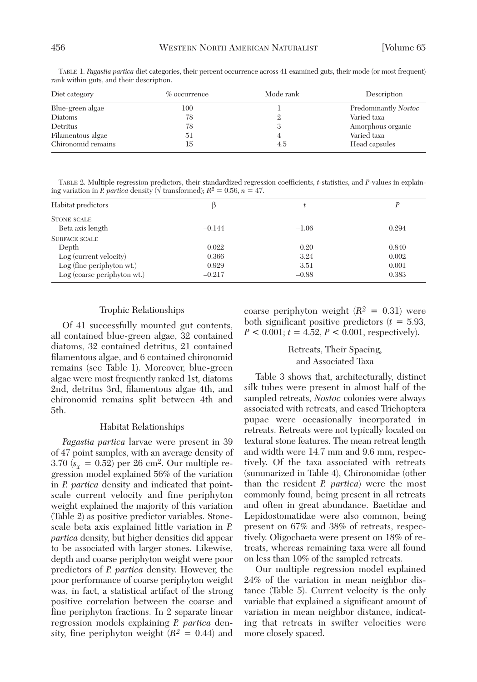| Diet category      | $\%$ occurrence | Mode rank | Description          |
|--------------------|-----------------|-----------|----------------------|
| Blue-green algae   | 100             |           | Predominantly Nostoc |
| Diatoms            | 78              |           | Varied taxa          |
| Detritus           | 78              | ۰,        | Amorphous organic    |
| Filamentous algae  | 51              |           | Varied taxa          |
| Chironomid remains | 15              | 4.5       | Head capsules        |

TABLE 1. *Pagastia partica* diet categories, their percent occurrence across 41 examined guts, their mode (or most frequent) rank within guts, and their description.

TABLE 2. Multiple regression predictors, their standardized regression coefficients, *t*-statistics, and *P*-values in explaining variation in *P. partica* density ( $\sqrt{\text{transformed}}$ );  $R^2 = 0.56$ ,  $n = 47$ .

| Habitat predictors          | Þ        |         |       |
|-----------------------------|----------|---------|-------|
| <b>STONE SCALE</b>          |          |         |       |
| Beta axis length            | $-0.144$ | $-1.06$ | 0.294 |
| <b>SURFACE SCALE</b>        |          |         |       |
| Depth                       | 0.022    | 0.20    | 0.840 |
| Log (current velocity)      | 0.366    | 3.24    | 0.002 |
| Log (fine periphyton wt.)   | 0.929    | 3.51    | 0.001 |
| Log (coarse periphyton wt.) | $-0.217$ | $-0.88$ | 0.383 |

### Trophic Relationships

Of 41 successfully mounted gut contents, all contained blue-green algae, 32 contained diatoms, 32 contained detritus, 21 contained filamentous algae, and 6 contained chironomid remains (see Table 1). Moreover, blue-green algae were most frequently ranked 1st, diatoms 2nd, detritus 3rd, filamentous algae 4th, and chironomid remains split between 4th and 5th.

### Habitat Relationships

*Pagastia partica* larvae were present in 39 of 47 point samples, with an average density of 3.70  $(s_{\bar{x}} = 0.52)$  per 26 cm<sup>2</sup>. Our multiple regression model explained 56% of the variation in *P. partica* density and indicated that pointscale current velocity and fine periphyton weight explained the majority of this variation (Table 2) as positive predictor variables. Stonescale beta axis explained little variation in *P. partica* density, but higher densities did appear to be associated with larger stones. Likewise, depth and coarse periphyton weight were poor predictors of *P. partica* density. However, the poor performance of coarse periphyton weight was, in fact, a statistical artifact of the strong positive correlation between the coarse and fine periphyton fractions. In 2 separate linear regression models explaining *P. partica* density, fine periphyton weight  $(R^2 = 0.44)$  and coarse periphyton weight  $(R^2 = 0.31)$  were both significant positive predictors  $(t = 5.93)$ ,  $P < 0.001$ ;  $t = 4.52$ ,  $P < 0.001$ , respectively).

## Retreats, Their Spacing, and Associated Taxa

Table 3 shows that, architecturally, distinct silk tubes were present in almost half of the sampled retreats, *Nostoc* colonies were always associated with retreats, and cased Trichoptera pupae were occasionally incorporated in retreats. Retreats were not typically located on textural stone features. The mean retreat length and width were 14.7 mm and 9.6 mm, respectively. Of the taxa associated with retreats (summarized in Table 4), Chironomidae (other than the resident *P. partica*) were the most commonly found, being present in all retreats and often in great abundance. Baetidae and Lepidostomatidae were also common, being present on 67% and 38% of retreats, respectively. Oligochaeta were present on 18% of retreats, whereas remaining taxa were all found on less than 10% of the sampled retreats.

Our multiple regression model explained 24% of the variation in mean neighbor distance (Table 5). Current velocity is the only variable that explained a significant amount of variation in mean neighbor distance, indicating that retreats in swifter velocities were more closely spaced.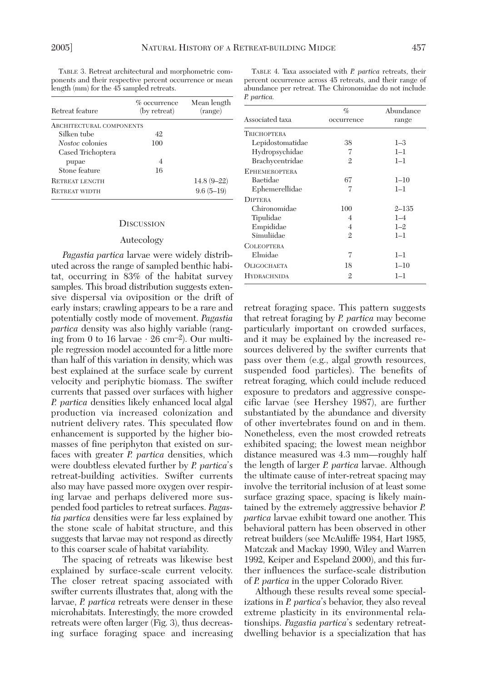*P. partica.*

TABLE 3. Retreat architectural and morphometric components and their respective percent occurrence or mean length (mm) for the 45 sampled retreats.

| Retreat feature                 | $\%$ occurrence<br>(by retreat) | Mean length<br>(range) |
|---------------------------------|---------------------------------|------------------------|
| <b>ARCHITECTURAL COMPONENTS</b> |                                 |                        |
| Silken tube                     | 42                              |                        |
| Nostoc colonies                 | 100                             |                        |
| Cased Trichoptera               |                                 |                        |
| pupae                           | 4                               |                        |
| Stone feature                   | 16                              |                        |
| <b>RETREAT LENGTH</b>           |                                 | $14.8(9 - 22)$         |
| <b>RETREAT WIDTH</b>            |                                 | $9.6(5-19)$            |

### **DISCUSSION**

## Autecology

*Pagastia partica* larvae were widely distributed across the range of sampled benthic habitat, occurring in 83% of the habitat survey samples. This broad distribution suggests extensive dispersal via oviposition or the drift of early instars; crawling appears to be a rare and potentially costly mode of movement. *Pagastia partica* density was also highly variable (ranging from 0 to 16 larvae  $\cdot$  26 cm<sup>-2</sup>). Our multiple regression model accounted for a little more than half of this variation in density, which was best explained at the surface scale by current velocity and periphytic biomass. The swifter currents that passed over surfaces with higher *P. partica* densities likely enhanced local algal production via increased colonization and nutrient delivery rates. This speculated flow enhancement is supported by the higher biomasses of fine periphyton that existed on surfaces with greater *P. partica* densities, which were doubtless elevated further by *P. partica*'s retreat-building activities. Swifter currents also may have passed more oxygen over respiring larvae and perhaps delivered more suspended food particles to retreat surfaces. *Pagastia partica* densities were far less explained by the stone scale of habitat structure, and this suggests that larvae may not respond as directly to this coarser scale of habitat variability.

The spacing of retreats was likewise best explained by surface-scale current velocity. The closer retreat spacing associated with swifter currents illustrates that, along with the larvae, *P. partica* retreats were denser in these microhabitats. Interestingly, the more crowded retreats were often larger (Fig. 3), thus decreasing surface foraging space and increasing

| <b>1.</b> pur vicu.  |              |           |  |  |
|----------------------|--------------|-----------|--|--|
| Associated taxa      | $\%$         | Abundance |  |  |
|                      | occurrence   | range     |  |  |
| <b>TRICHOPTERA</b>   |              |           |  |  |
| Lepidostomatidae     | 38           | $1 - 3$   |  |  |
| Hydropsychidae       | 7            | $1 - 1$   |  |  |
| Brachycentridae      | $\mathbf{2}$ | $l-1$     |  |  |
| <b>EPHEMEROPTERA</b> |              |           |  |  |
| Baetidae             | 67           | $1 - 10$  |  |  |
| Ephemerellidae       | 7            | $1 - 1$   |  |  |
| <b>DIPTERA</b>       |              |           |  |  |
| Chironomidae         | 100          | $2 - 135$ |  |  |
| Tipulidae            | 4            | $1 - 4$   |  |  |
| Empididae            | 4            | $1 - 2$   |  |  |
| Simuliidae           | $\mathbf{2}$ | $1 - 1$   |  |  |
| <b>COLEOPTERA</b>    |              |           |  |  |
| Elmidae              | 7            | $l-1$     |  |  |
| OLIGOCHAETA          | 18           | $1 - 10$  |  |  |
| <b>HYDRACHNIDA</b>   | $\mathbf{2}$ | $1 - 1$   |  |  |
|                      |              |           |  |  |

TABLE 4. Taxa associated with *P. partica* retreats, their percent occurrence across 45 retreats, and their range of abundance per retreat. The Chironomidae do not include

retreat foraging space. This pattern suggests that retreat foraging by *P. partica* may become particularly important on crowded surfaces, and it may be explained by the increased resources delivered by the swifter currents that pass over them (e.g., algal growth resources, suspended food particles). The benefits of retreat foraging, which could include reduced exposure to predators and aggressive conspecific larvae (see Hershey 1987), are further substantiated by the abundance and diversity of other invertebrates found on and in them. Nonetheless, even the most crowded retreats exhibited spacing; the lowest mean neighbor distance measured was 4.3 mm—roughly half the length of larger *P. partica* larvae. Although the ultimate cause of inter-retreat spacing may involve the territorial inclusion of at least some surface grazing space, spacing is likely maintained by the extremely aggressive behavior *P. partica* larvae exhibit toward one another. This behavioral pattern has been observed in other retreat builders (see McAuliffe 1984, Hart 1985, Matczak and Mackay 1990, Wiley and Warren 1992, Keiper and Espeland 2000), and this further influences the surface-scale distribution of *P. partica* in the upper Colorado River.

Although these results reveal some specializations in *P. partica*'s behavior, they also reveal extreme plasticity in its environmental relationships. *Pagastia partica*'s sedentary retreatdwelling behavior is a specialization that has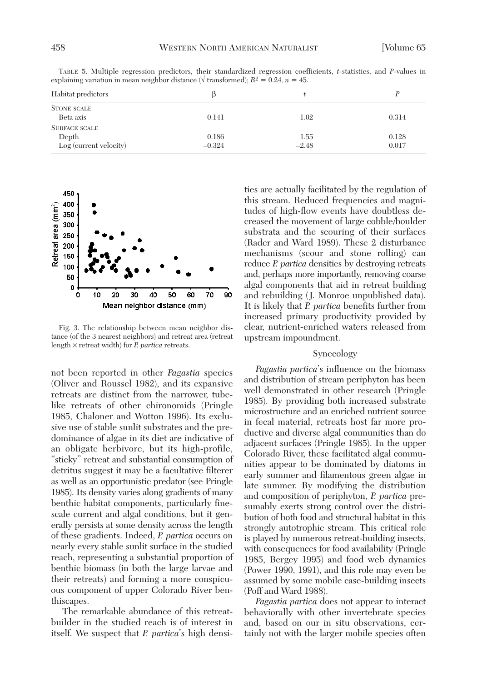| Habitat predictors              |          |         |       |
|---------------------------------|----------|---------|-------|
| <b>STONE SCALE</b><br>Beta axis | $-0.141$ | $-1.02$ | 0.314 |
| <b>SURFACE SCALE</b>            |          |         |       |
| Depth                           | 0.186    | 1.55    | 0.128 |
| Log (current velocity)          | $-0.324$ | $-2.48$ | 0.017 |

TABLE 5. Multiple regression predictors, their standardized regression coefficients, *t*-statistics, and *P*-values in explaining variation in mean neighbor distance ( $\sqrt{\text{transformed}}$ );  $R^2 = 0.24$ ,  $n = 45$ .



Fig. 3. The relationship between mean neighbor distance (of the 3 nearest neighbors) and retreat area (retreat length × retreat width) for *P. partica* retreats.

not been reported in other *Pagastia* species (Oliver and Roussel 1982), and its expansive retreats are distinct from the narrower, tubelike retreats of other chironomids (Pringle 1985, Chaloner and Wotton 1996). Its exclusive use of stable sunlit substrates and the predominance of algae in its diet are indicative of an obligate herbivore, but its high-profile, "sticky" retreat and substantial consumption of detritus suggest it may be a facultative filterer as well as an opportunistic predator (see Pringle 1985). Its density varies along gradients of many benthic habitat components, particularly finescale current and algal conditions, but it generally persists at some density across the length of these gradients. Indeed, *P. partica* occurs on nearly every stable sunlit surface in the studied reach, representing a substantial proportion of benthic biomass (in both the large larvae and their retreats) and forming a more conspicuous component of upper Colorado River benthiscapes.

The remarkable abundance of this retreatbuilder in the studied reach is of interest in itself. We suspect that *P. partica*'s high densi-

ties are actually facilitated by the regulation of this stream. Reduced frequencies and magnitudes of high-flow events have doubtless decreased the movement of large cobble/boulder substrata and the scouring of their surfaces (Rader and Ward 1989). These 2 disturbance mechanisms (scour and stone rolling) can reduce *P. partica* densities by destroying retreats and, perhaps more importantly, removing coarse algal components that aid in retreat building and rebuilding (J. Monroe unpublished data). It is likely that *P. partica* benefits further from increased primary productivity provided by clear, nutrient-enriched waters released from upstream impoundment.

## Synecology

*Pagastia partica*'s influence on the biomass and distribution of stream periphyton has been well demonstrated in other research (Pringle 1985). By providing both increased substrate microstructure and an enriched nutrient source in fecal material, retreats host far more productive and diverse algal communities than do adjacent surfaces (Pringle 1985). In the upper Colorado River, these facilitated algal communities appear to be dominated by diatoms in early summer and filamentous green algae in late summer. By modifying the distribution and composition of periphyton, *P. partica* presumably exerts strong control over the distribution of both food and structural habitat in this strongly autotrophic stream. This critical role is played by numerous retreat-building insects, with consequences for food availability (Pringle 1985, Bergey 1995) and food web dynamics (Power 1990, 1991), and this role may even be assumed by some mobile case-building insects (Poff and Ward 1988).

*Pagastia partica* does not appear to interact behaviorally with other invertebrate species and, based on our in situ observations, certainly not with the larger mobile species often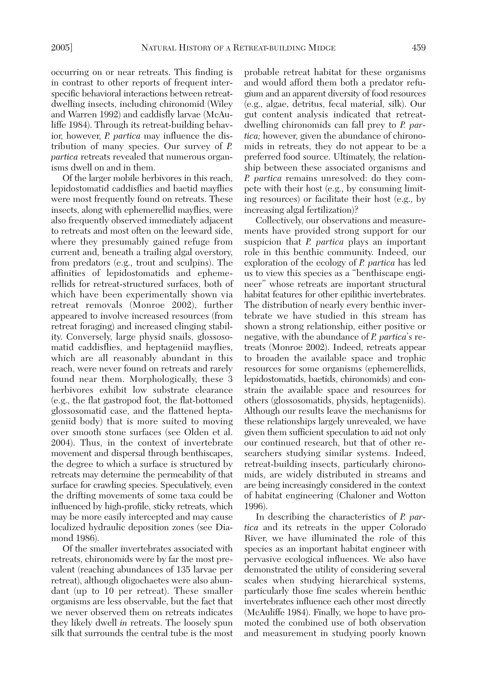occurring on or near retreats. This finding is in contrast to other reports of frequent interspecific behavioral interactions between retreatdwelling insects, including chironomid (Wiley and Warren 1992) and caddisfly larvae (McAuliffe 1984). Through its retreat-building behavior, however, *P. partica* may influence the distribution of many species. Our survey of *P. partica* retreats revealed that numerous organisms dwell on and in them.

Of the larger mobile herbivores in this reach, lepidostomatid caddisflies and baetid mayflies were most frequently found on retreats. These insects, along with ephemerellid mayflies, were also frequently observed immediately adjacent to retreats and most often on the leeward side, where they presumably gained refuge from current and, beneath a trailing algal overstory, from predators (e.g., trout and sculpins). The affinities of lepidostomatids and ephemerellids for retreat-structured surfaces, both of which have been experimentally shown via retreat removals (Monroe 2002), further appeared to involve increased resources (from retreat foraging) and increased clinging stability. Conversely, large physid snails, glossosomatid caddisflies, and heptageniid mayflies, which are all reasonably abundant in this reach, were never found on retreats and rarely found near them. Morphologically, these 3 herbivores exhibit low substrate clearance (e.g., the flat gastropod foot, the flat-bottomed glossosomatid case, and the flattened heptageniid body) that is more suited to moving over smooth stone surfaces (see Olden et al. 2004). Thus, in the context of invertebrate movement and dispersal through benthiscapes, the degree to which a surface is structured by retreats may determine the permeability of that surface for crawling species. Speculatively, even the drifting movements of some taxa could be influenced by high-profile, sticky retreats, which may be more easily intercepted and may cause localized hydraulic deposition zones (see Diamond 1986).

Of the smaller invertebrates associated with retreats, chironomids were by far the most prevalent (reaching abundances of 135 larvae per retreat), although oligochaetes were also abundant (up to 10 per retreat). These smaller organisms are less observable, but the fact that we never observed them on retreats indicates they likely dwell *in* retreats. The loosely spun silk that surrounds the central tube is the most

probable retreat habitat for these organisms and would afford them both a predator refugium and an apparent diversity of food resources (e.g., algae, detritus, fecal material, silk). Our gut content analysis indicated that retreatdwelling chironomids can fall prey to *P. partica;* however, given the abundance of chironomids in retreats, they do not appear to be a preferred food source. Ultimately, the relationship between these associated organisms and *P. partica* remains unresolved: do they compete with their host (e.g., by consuming limiting resources) or facilitate their host (e.g., by increasing algal fertilization)?

Collectively, our observations and measurements have provided strong support for our suspicion that *P. partica* plays an important role in this benthic community. Indeed, our exploration of the ecology of *P. partica* has led us to view this species as a "benthiscape engineer" whose retreats are important structural habitat features for other epilithic invertebrates. The distribution of nearly every benthic invertebrate we have studied in this stream has shown a strong relationship, either positive or negative, with the abundance of *P. partica*'s retreats (Monroe 2002). Indeed, retreats appear to broaden the available space and trophic resources for some organisms (ephemerellids, lepidostomatids, baetids, chironomids) and constrain the available space and resources for others (glossosomatids, physids, heptageniids). Although our results leave the mechanisms for these relationships largely unrevealed, we have given them sufficient speculation to aid not only our continued research, but that of other researchers studying similar systems. Indeed, retreat-building insects, particularly chironomids, are widely distributed in streams and are being increasingly considered in the context of habitat engineering (Chaloner and Wotton 1996).

In describing the characteristics of *P. partica* and its retreats in the upper Colorado River, we have illuminated the role of this species as an important habitat engineer with pervasive ecological influences. We also have demonstrated the utility of considering several scales when studying hierarchical systems, particularly those fine scales wherein benthic invertebrates influence each other most directly (McAuliffe 1984). Finally, we hope to have promoted the combined use of both observation and measurement in studying poorly known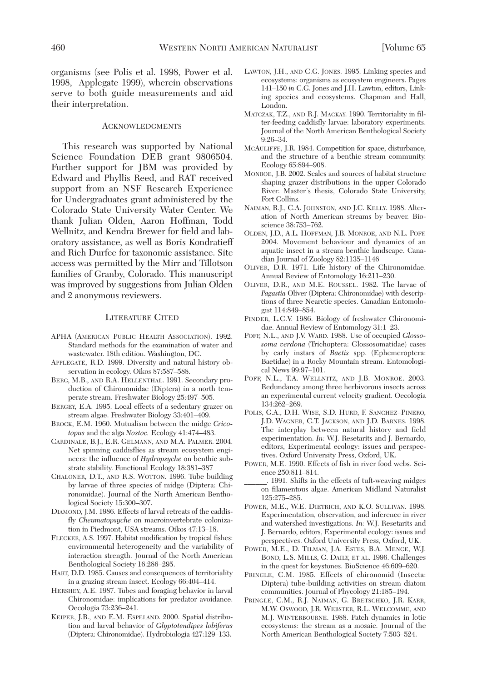organisms (see Polis et al. 1998, Power et al. 1998, Applegate 1999), wherein observations serve to both guide measurements and aid their interpretation.

### ACKNOWLEDGMENTS

This research was supported by National Science Foundation DEB grant 9806504. Further support for JBM was provided by Edward and Phyllis Reed, and RAT received support from an NSF Research Experience for Undergraduates grant administered by the Colorado State University Water Center. We thank Julian Olden, Aaron Hoffman, Todd Wellnitz, and Kendra Brewer for field and laboratory assistance, as well as Boris Kondratieff and Rich Durfee for taxonomic assistance. Site access was permitted by the Mirr and Tillotson families of Granby, Colorado. This manuscript was improved by suggestions from Julian Olden and 2 anonymous reviewers.

## LITERATURE CITED

- APHA (AMERICAN PUBLIC HEALTH ASSOCIATION). 1992. Standard methods for the examination of water and wastewater. 18th edition. Washington, DC.
- APPLEGATE, R.D. 1999. Diversity and natural history observation in ecology. Oikos 87:587–588.
- BERG, M.B., AND R.A. HELLENTHAL. 1991. Secondary production of Chironomidae (Diptera) in a north temperate stream. Freshwater Biology 25:497–505.
- BERGEY, E.A. 1995. Local effects of a sedentary grazer on stream algae. Freshwater Biology 33:401–409.
- BROCK, E.M. 1960. Mutualism between the midge *Cricotopus* and the alga *Nostoc.* Ecology 41:474–483.
- CARDINALE, B.J., E.R. GELMANN, AND M.A. PALMER. 2004. Net spinning caddisflies as stream ecosystem engineers: the influence of *Hydropsyche* on benthic substrate stability. Functional Ecology 18:381–387
- CHALONER, D.T., AND R.S. WOTTON. 1996. Tube building by larvae of three species of midge (Diptera: Chironomidae). Journal of the North American Benthological Society 15:300–307.
- DIAMOND, J.M. 1986. Effects of larval retreats of the caddisfly *Cheumatopsyche* on macroinvertebrate colonization in Piedmont, USA streams. Oikos 47:13–18.
- FLECKER, A.S. 1997. Habitat modification by tropical fishes: environmental heterogeneity and the variability of interaction strength. Journal of the North American Benthological Society 16:286–295.
- HART, D.D. 1985. Causes and consequences of territoriality in a grazing stream insect. Ecology 66:404–414.
- HERSHEY, A.E. 1987. Tubes and foraging behavior in larval Chironomidae: implications for predator avoidance. Oecologia 73:236–241.
- KEIPER, J.B., AND E.M. ESPELAND. 2000. Spatial distribution and larval behavior of *Glyptotendipes lobiferus* (Diptera: Chironomidae). Hydrobiologia 427:129–133.
- LAWTON, J.H., AND C.G. JONES. 1995. Linking species and ecosystems: organisms as ecosystem engineers. Pages 141–150 *in* C.G. Jones and J.H. Lawton, editors, Linking species and ecosystems. Chapman and Hall, London.
- MATCZAK, T.Z., AND R.J. MACKAY. 1990. Territoriality in filter-feeding caddisfly larvae: laboratory experiments. Journal of the North American Benthological Society 9:26–34.
- MCAULIFFE, J.R. 1984. Competition for space, disturbance, and the structure of a benthic stream community. Ecology 65:894–908.
- MONROE, J.B. 2002. Scales and sources of habitat structure shaping grazer distributions in the upper Colorado River. Master's thesis, Colorado State University, Fort Collins.
- NAIMAN, R.J., C.A. JOHNSTON, AND J.C. KELLY. 1988. Alteration of North American streams by beaver. Bioscience 38:753–762.
- OLDEN, J.D., A.L. HOFFMAN, J.B. MONROE, AND N.L. POFF. 2004. Movement behaviour and dynamics of an aquatic insect in a stream benthic landscape. Canadian Journal of Zoology 82:1135–1146
- OLIVER, D.R. 1971. Life history of the Chironomidae. Annual Review of Entomology 16:211–230.
- OLIVER, D.R., AND M.E. ROUSSEL. 1982. The larvae of *Pagastia* Oliver (Diptera: Chironomidae) with descriptions of three Nearctic species. Canadian Entomologist 114:849–854.
- PINDER, L.C.V. 1986. Biology of freshwater Chironomidae. Annual Review of Entomology 31:1–23.
- POFF, N.L., AND J.V. WARD. 1988. Use of occupied *Glossosoma verdona* (Trichoptera: Glossosomatidae) cases by early instars of *Baetis* spp. (Ephemeroptera: Baetidae) in a Rocky Mountain stream. Entomological News 99:97–101.
- POFF, N.L., T.A. WELLNITZ, AND J.B. MONROE. 2003. Redundancy among three herbivorous insects across an experimental current velocity gradient. Oecologia 134:262–269.
- POLIS, G.A., D.H. WISE, S.D. HURD, F. SANCHEZ–PINERO, J.D. WAGNER, C.T. JACKSON, AND J.D. BARNES. 1998. The interplay between natural history and field experimentation. *In:* W.J. Resetarits and J. Bernardo, editors, Experimental ecology: issues and perspectives. Oxford University Press, Oxford, UK.
- POWER, M.E. 1990. Effects of fish in river food webs. Science 250:811–814.
- \_\_\_\_\_\_. 1991. Shifts in the effects of tuft-weaving midges on filamentous algae. American Midland Naturalist 125:275–285.
- POWER, M.E., W.E. DIETRICH, AND K.O. SULLIVAN. 1998. Experimentation, observation, and inference in river and watershed investigations. *In:* W.J. Resetarits and J. Bernardo, editors, Experimental ecology: issues and perspectives. Oxford University Press, Oxford, UK.
- POWER, M.E., D. TILMAN, J.A. ESTES, B.A. MENGE, W.J. BOND, L.S. MILLS, G. DAILY, ET AL. 1996. Challenges in the quest for keystones. BioScience 46:609–620.
- PRINGLE, C.M. 1985. Effects of chironomid (Insecta: Diptera) tube-building activities on stream diatom communities. Journal of Phycology 21:185–194.
- PRINGLE, C.M., R.J. NAIMAN, G. BRETSCHKO, J.R. KARR, M.W. OSWOOD, J.R. WEBSTER, R.L. WELCOMME, AND M.J. WINTERBOURNE. 1988. Patch dynamics in lotic ecosystems: the stream as a mosaic. Journal of the North American Benthological Society 7:503–524.